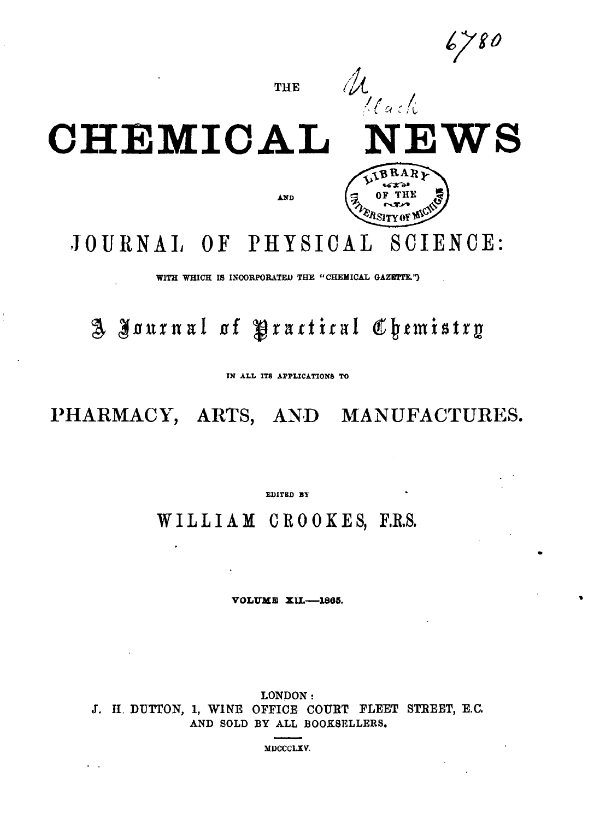$6780$ 

THE

 $\mathscr{U}$ 



WITH WHICH IS INCORPORATED THE "CHEMICAL GAZETTE.")

A Journal of Practical Chemistry

IN ALL ITS APPLICATIONS TO

PHARMACY, ARTS, AND MANUFACTURES.

EDITED BY

WILLIAM CROOKES, F.R.S.

VOLUME XII.-1865.

LONDON: J. H. DUTTON, 1, WINE OFFICE COURT FLEET STREET, E.C. AND SOLD BY ALL BOOKSELLERS.

MDCCCLXV.